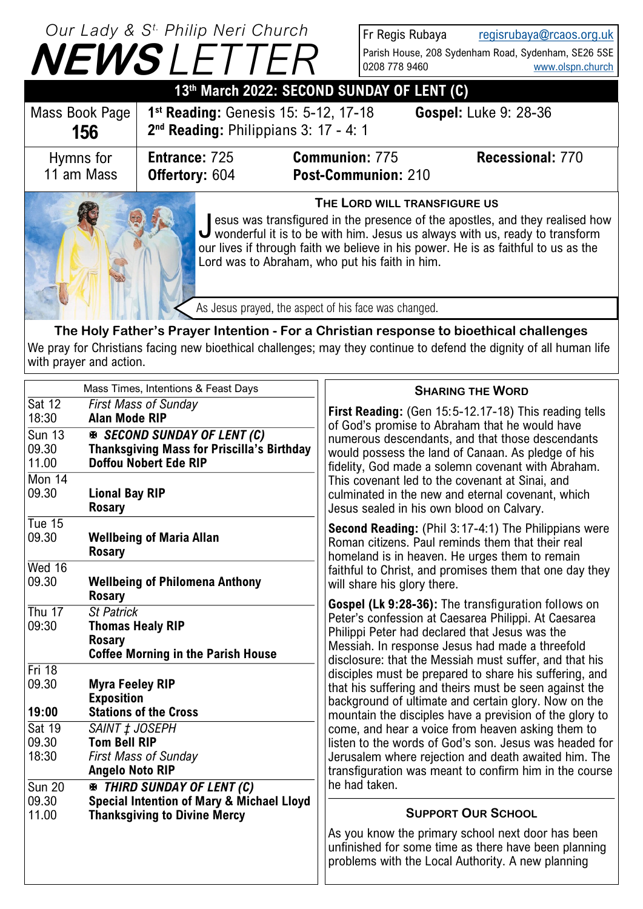# **NEWS** *LETTER Our Lady & S t. Philip Neri Church*

Fr Regis Rubaya [regisrubaya@rcaos.org.uk](mailto:regisrubaya@rcaos.org.uk) Parish House, 208 Sydenham Road, Sydenham, SE26 5SE 0208 778 9460 [www.olspn.church](http://www.olspn.church)

|                         |                                                                                                                                       | 13th March 2022: SECOND SUNDAY OF LENT (C)                                                                                                                                                                                                                                                                                            |                         |
|-------------------------|---------------------------------------------------------------------------------------------------------------------------------------|---------------------------------------------------------------------------------------------------------------------------------------------------------------------------------------------------------------------------------------------------------------------------------------------------------------------------------------|-------------------------|
| Mass Book Page<br>156   | 1 <sup>st</sup> Reading: Genesis 15: 5-12, 17-18<br><b>Gospel: Luke 9: 28-36</b><br>2 <sup>nd</sup> Reading: Philippians 3: 17 - 4: 1 |                                                                                                                                                                                                                                                                                                                                       |                         |
| Hymns for<br>11 am Mass | <b>Entrance: 725</b><br>Offertory: 604                                                                                                | <b>Communion: 775</b><br>Post-Communion: 210                                                                                                                                                                                                                                                                                          | <b>Recessional: 770</b> |
|                         |                                                                                                                                       | THE LORD WILL TRANSFIGURE US<br>esus was transfigured in the presence of the apostles, and they realised how<br>U wonderful it is to be with him. Jesus us always with us, ready to transform<br>our lives if through faith we believe in his power. He is as faithful to us as the<br>Lord was to Abraham, who put his faith in him. |                         |
|                         |                                                                                                                                       | As Jesus prayed, the aspect of his face was changed.                                                                                                                                                                                                                                                                                  |                         |

**The Holy Father's Prayer Intention - For a Christian response to bioethical challenges** We pray for Christians facing new bioethical challenges; may they continue to defend the dignity of all human life with prayer and action.

|                                                  | Mass Times, Intentions & Feast Days                                                                                                  | <b>SHARING THE WORD</b>                                                                                                                                                                                                                                                           |
|--------------------------------------------------|--------------------------------------------------------------------------------------------------------------------------------------|-----------------------------------------------------------------------------------------------------------------------------------------------------------------------------------------------------------------------------------------------------------------------------------|
| $\overline{\text{Sat 12}}$<br>18:30              | <b>First Mass of Sunday</b><br><b>Alan Mode RIP</b>                                                                                  | First Reading: (Gen 15:5-12.17-18) This reading tells<br>of God's promise to Abraham that he would have                                                                                                                                                                           |
| <b>Sun 13</b><br>09.30<br>11.00                  | <b>E</b> SECOND SUNDAY OF LENT (C)<br><b>Thanksgiving Mass for Priscilla's Birthday</b><br><b>Doffou Nobert Ede RIP</b>              | numerous descendants, and that those descendants<br>would possess the land of Canaan. As pledge of his<br>fidelity, God made a solemn covenant with Abraham.                                                                                                                      |
| Mon $14$<br>09.30                                | <b>Lional Bay RIP</b><br><b>Rosary</b>                                                                                               | This covenant led to the covenant at Sinai, and<br>culminated in the new and eternal covenant, which<br>Jesus sealed in his own blood on Calvary.                                                                                                                                 |
| Tue $15$<br>09.30                                | <b>Wellbeing of Maria Allan</b><br><b>Rosary</b>                                                                                     | <b>Second Reading:</b> (Phil 3:17-4:1) The Philippians were<br>Roman citizens. Paul reminds them that their real<br>homeland is in heaven. He urges them to remain                                                                                                                |
| Wed $16$<br>09.30                                | <b>Wellbeing of Philomena Anthony</b><br><b>Rosary</b>                                                                               | faithful to Christ, and promises them that one day they<br>will share his glory there.                                                                                                                                                                                            |
| Thu $17$<br>09:30                                | <b>St Patrick</b><br><b>Thomas Healy RIP</b><br><b>Rosary</b><br><b>Coffee Morning in the Parish House</b>                           | <b>Gospel (Lk 9:28-36):</b> The transfiguration follows on<br>Peter's confession at Caesarea Philippi. At Caesarea<br>Philippi Peter had declared that Jesus was the<br>Messiah. In response Jesus had made a threefold<br>disclosure: that the Messiah must suffer, and that his |
| Fri $18$<br>09.30<br>19:00                       | <b>Myra Feeley RIP</b><br><b>Exposition</b><br><b>Stations of the Cross</b>                                                          | disciples must be prepared to share his suffering, and<br>that his suffering and theirs must be seen against the<br>background of ultimate and certain glory. Now on the<br>mountain the disciples have a prevision of the glory to                                               |
| <b>Sat 19</b><br>09.30<br>18:30<br><b>Sun 20</b> | SAINT ± JOSEPH<br><b>Tom Bell RIP</b><br><b>First Mass of Sunday</b><br><b>Angelo Noto RIP</b><br><b>EX THIRD SUNDAY OF LENT (C)</b> | come, and hear a voice from heaven asking them to<br>listen to the words of God's son. Jesus was headed for<br>Jerusalem where rejection and death awaited him. The<br>transfiguration was meant to confirm him in the course<br>he had taken.                                    |
| 09.30<br>11.00                                   | <b>Special Intention of Mary &amp; Michael Lloyd</b><br><b>Thanksgiving to Divine Mercy</b>                                          | <b>SUPPORT OUR SCHOOL</b><br>As you know the primary school next door has been<br>unfinished for some time as there have been planning<br>problems with the Local Authority. A new planning                                                                                       |